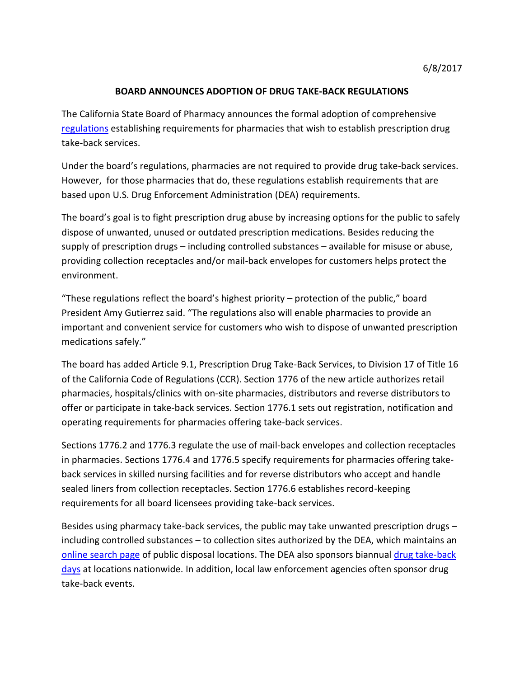## **BOARD ANNOUNCES ADOPTION OF DRUG TAKE-BACK REGULATIONS**

The California State Board of Pharmacy announces the formal adoption of comprehensive [regulations](http://www.pharmacy.ca.gov/laws_regs/1776_oa.pdf) establishing requirements for pharmacies that wish to establish prescription drug take-back services.

Under the board's regulations, pharmacies are not required to provide drug take-back services. However, for those pharmacies that do, these regulations establish requirements that are based upon U.S. Drug Enforcement Administration (DEA) requirements.

The board's goal is to fight prescription drug abuse by increasing options for the public to safely dispose of unwanted, unused or outdated prescription medications. Besides reducing the supply of prescription drugs – including controlled substances – available for misuse or abuse, providing collection receptacles and/or mail-back envelopes for customers helps protect the environment.

"These regulations reflect the board's highest priority – protection of the public," board President Amy Gutierrez said. "The regulations also will enable pharmacies to provide an important and convenient service for customers who wish to dispose of unwanted prescription medications safely."

The board has added Article 9.1, Prescription Drug Take-Back Services, to Division 17 of Title 16 of the California Code of Regulations (CCR). Section 1776 of the new article authorizes retail pharmacies, hospitals/clinics with on-site pharmacies, distributors and reverse distributors to offer or participate in take-back services. Section 1776.1 sets out registration, notification and operating requirements for pharmacies offering take-back services.

Sections 1776.2 and 1776.3 regulate the use of mail-back envelopes and collection receptacles in pharmacies. Sections 1776.4 and 1776.5 specify requirements for pharmacies offering takeback services in skilled nursing facilities and for reverse distributors who accept and handle sealed liners from collection receptacles. Section 1776.6 establishes record-keeping requirements for all board licensees providing take-back services.

Besides using pharmacy take-back services, the public may take unwanted prescription drugs – including controlled substances – to collection sites authorized by the DEA, which maintains an [online search page](https://apps.deadiversion.usdoj.gov/pubdispsearch/spring/main?execution=e2s1) of public disposal locations. The DEA also sponsors biannual [drug take-back](https://www.deadiversion.usdoj.gov/drug_disposal/takeback/)  [days](https://www.deadiversion.usdoj.gov/drug_disposal/takeback/) at locations nationwide. In addition, local law enforcement agencies often sponsor drug take-back events.